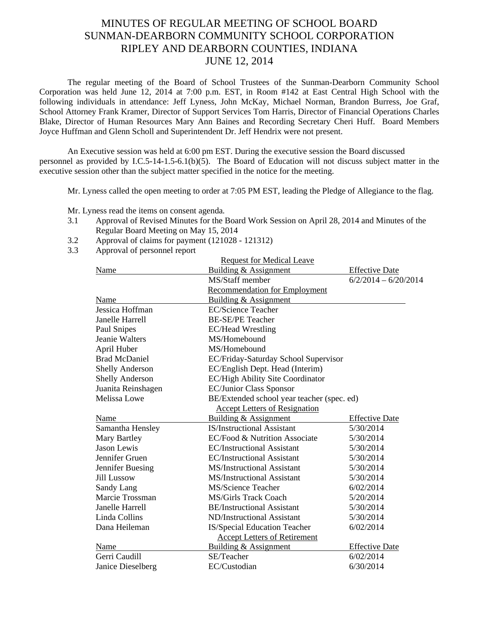## MINUTES OF REGULAR MEETING OF SCHOOL BOARD SUNMAN-DEARBORN COMMUNITY SCHOOL CORPORATION RIPLEY AND DEARBORN COUNTIES, INDIANA JUNE 12, 2014

The regular meeting of the Board of School Trustees of the Sunman-Dearborn Community School Corporation was held June 12, 2014 at 7:00 p.m. EST, in Room #142 at East Central High School with the following individuals in attendance: Jeff Lyness, John McKay, Michael Norman, Brandon Burress, Joe Graf, School Attorney Frank Kramer, Director of Support Services Tom Harris, Director of Financial Operations Charles Blake, Director of Human Resources Mary Ann Baines and Recording Secretary Cheri Huff. Board Members Joyce Huffman and Glenn Scholl and Superintendent Dr. Jeff Hendrix were not present.

An Executive session was held at 6:00 pm EST. During the executive session the Board discussed personnel as provided by I.C.5-14-1.5-6.1(b)(5). The Board of Education will not discuss subject matter in the executive session other than the subject matter specified in the notice for the meeting.

Mr. Lyness called the open meeting to order at 7:05 PM EST, leading the Pledge of Allegiance to the flag.

Mr. Lyness read the items on consent agenda*.* 

3.1 Approval of Revised Minutes for the Board Work Session on April 28, 2014 and Minutes of the Regular Board Meeting on May 15, 2014

 $\overline{R}$ 

- 3.2 Approval of claims for payment (121028 121312)
- 3.3 Approval of personnel report

| <b>Request for Medical Leave</b>     |                                            |
|--------------------------------------|--------------------------------------------|
| Building & Assignment                | <b>Effective Date</b>                      |
| MS/Staff member                      | $6/2/2014 - 6/20/2014$                     |
| <b>Recommendation for Employment</b> |                                            |
| <b>Building &amp; Assignment</b>     |                                            |
| <b>EC/Science Teacher</b>            |                                            |
| <b>BE-SE/PE Teacher</b>              |                                            |
| <b>EC/Head Wrestling</b>             |                                            |
| MS/Homebound                         |                                            |
| MS/Homebound                         |                                            |
| EC/Friday-Saturday School Supervisor |                                            |
| EC/English Dept. Head (Interim)      |                                            |
| EC/High Ability Site Coordinator     |                                            |
| <b>EC/Junior Class Sponsor</b>       |                                            |
|                                      |                                            |
| <b>Accept Letters of Resignation</b> |                                            |
| Building & Assignment                | <b>Effective Date</b>                      |
| <b>IS/Instructional Assistant</b>    | 5/30/2014                                  |
| EC/Food & Nutrition Associate        | 5/30/2014                                  |
| <b>EC/Instructional Assistant</b>    | 5/30/2014                                  |
| <b>EC/Instructional Assistant</b>    | 5/30/2014                                  |
| <b>MS/Instructional Assistant</b>    | 5/30/2014                                  |
| <b>MS/Instructional Assistant</b>    | 5/30/2014                                  |
| <b>MS/Science Teacher</b>            | 6/02/2014                                  |
| <b>MS/Girls Track Coach</b>          | 5/20/2014                                  |
| <b>BE/Instructional Assistant</b>    | 5/30/2014                                  |
| ND/Instructional Assistant           | 5/30/2014                                  |
| IS/Special Education Teacher         | 6/02/2014                                  |
| <b>Accept Letters of Retirement</b>  |                                            |
| Building & Assignment                | <b>Effective Date</b>                      |
| SE/Teacher                           | 6/02/2014                                  |
| EC/Custodian                         | 6/30/2014                                  |
|                                      | BE/Extended school year teacher (spec. ed) |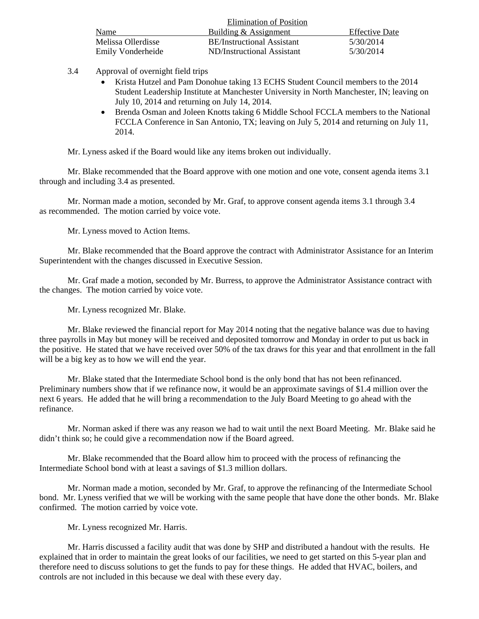|                    | <b>Elimination of Position</b>    |                       |
|--------------------|-----------------------------------|-----------------------|
| Name               | Building & Assignment             | <b>Effective Date</b> |
| Melissa Ollerdisse | <b>BE/Instructional Assistant</b> | 5/30/2014             |
| Emily Vonderheide  | ND/Instructional Assistant        | 5/30/2014             |

## 3.4 Approval of overnight field trips

- Krista Hutzel and Pam Donohue taking 13 ECHS Student Council members to the 2014 Student Leadership Institute at Manchester University in North Manchester, IN; leaving on July 10, 2014 and returning on July 14, 2014.
- Brenda Osman and Joleen Knotts taking 6 Middle School FCCLA members to the National FCCLA Conference in San Antonio, TX; leaving on July 5, 2014 and returning on July 11, 2014.

Mr. Lyness asked if the Board would like any items broken out individually.

Mr. Blake recommended that the Board approve with one motion and one vote, consent agenda items 3.1 through and including 3.4 as presented.

Mr. Norman made a motion, seconded by Mr. Graf, to approve consent agenda items 3.1 through 3.4 as recommended. The motion carried by voice vote.

Mr. Lyness moved to Action Items.

Mr. Blake recommended that the Board approve the contract with Administrator Assistance for an Interim Superintendent with the changes discussed in Executive Session.

Mr. Graf made a motion, seconded by Mr. Burress, to approve the Administrator Assistance contract with the changes. The motion carried by voice vote.

Mr. Lyness recognized Mr. Blake.

Mr. Blake reviewed the financial report for May 2014 noting that the negative balance was due to having three payrolls in May but money will be received and deposited tomorrow and Monday in order to put us back in the positive. He stated that we have received over 50% of the tax draws for this year and that enrollment in the fall will be a big key as to how we will end the year.

Mr. Blake stated that the Intermediate School bond is the only bond that has not been refinanced. Preliminary numbers show that if we refinance now, it would be an approximate savings of \$1.4 million over the next 6 years. He added that he will bring a recommendation to the July Board Meeting to go ahead with the refinance.

Mr. Norman asked if there was any reason we had to wait until the next Board Meeting. Mr. Blake said he didn't think so; he could give a recommendation now if the Board agreed.

Mr. Blake recommended that the Board allow him to proceed with the process of refinancing the Intermediate School bond with at least a savings of \$1.3 million dollars.

Mr. Norman made a motion, seconded by Mr. Graf, to approve the refinancing of the Intermediate School bond. Mr. Lyness verified that we will be working with the same people that have done the other bonds. Mr. Blake confirmed. The motion carried by voice vote.

Mr. Lyness recognized Mr. Harris.

Mr. Harris discussed a facility audit that was done by SHP and distributed a handout with the results. He explained that in order to maintain the great looks of our facilities, we need to get started on this 5-year plan and therefore need to discuss solutions to get the funds to pay for these things. He added that HVAC, boilers, and controls are not included in this because we deal with these every day.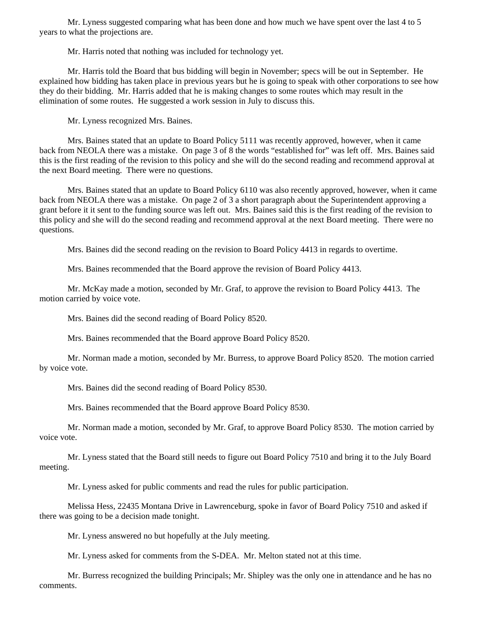Mr. Lyness suggested comparing what has been done and how much we have spent over the last 4 to 5 years to what the projections are.

Mr. Harris noted that nothing was included for technology yet.

Mr. Harris told the Board that bus bidding will begin in November; specs will be out in September. He explained how bidding has taken place in previous years but he is going to speak with other corporations to see how they do their bidding. Mr. Harris added that he is making changes to some routes which may result in the elimination of some routes. He suggested a work session in July to discuss this.

Mr. Lyness recognized Mrs. Baines.

 Mrs. Baines stated that an update to Board Policy 5111 was recently approved, however, when it came back from NEOLA there was a mistake. On page 3 of 8 the words "established for" was left off. Mrs. Baines said this is the first reading of the revision to this policy and she will do the second reading and recommend approval at the next Board meeting. There were no questions.

 Mrs. Baines stated that an update to Board Policy 6110 was also recently approved, however, when it came back from NEOLA there was a mistake. On page 2 of 3 a short paragraph about the Superintendent approving a grant before it it sent to the funding source was left out. Mrs. Baines said this is the first reading of the revision to this policy and she will do the second reading and recommend approval at the next Board meeting. There were no questions.

Mrs. Baines did the second reading on the revision to Board Policy 4413 in regards to overtime.

Mrs. Baines recommended that the Board approve the revision of Board Policy 4413.

Mr. McKay made a motion, seconded by Mr. Graf, to approve the revision to Board Policy 4413. The motion carried by voice vote.

Mrs. Baines did the second reading of Board Policy 8520.

Mrs. Baines recommended that the Board approve Board Policy 8520.

Mr. Norman made a motion, seconded by Mr. Burress, to approve Board Policy 8520. The motion carried by voice vote.

Mrs. Baines did the second reading of Board Policy 8530.

Mrs. Baines recommended that the Board approve Board Policy 8530.

Mr. Norman made a motion, seconded by Mr. Graf, to approve Board Policy 8530. The motion carried by voice vote.

Mr. Lyness stated that the Board still needs to figure out Board Policy 7510 and bring it to the July Board meeting.

Mr. Lyness asked for public comments and read the rules for public participation.

 Melissa Hess, 22435 Montana Drive in Lawrenceburg, spoke in favor of Board Policy 7510 and asked if there was going to be a decision made tonight.

Mr. Lyness answered no but hopefully at the July meeting.

Mr. Lyness asked for comments from the S-DEA. Mr. Melton stated not at this time.

 Mr. Burress recognized the building Principals; Mr. Shipley was the only one in attendance and he has no comments.